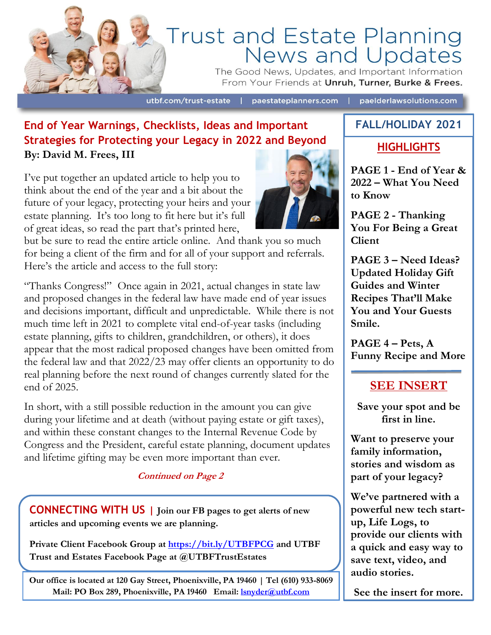

# Trust and Estate Planning<br>News and Updates

The Good News, Updates, and Important Information From Your Friends at Unruh, Turner, Burke & Frees.

utbf.com/trust-estate

paestateplanners.com

paelderlawsolutions.com

## **End of Year Warnings, Checklists, Ideas and Important Strategies for Protecting your Legacy in 2022 and Beyond By: David M. Frees, III**

I've put together an updated article to help you to think about the end of the year and a bit about the future of your legacy, protecting your heirs and your estate planning. It's too long to fit here but it's full of great ideas, so read the part that's printed here,

but be sure to read the entire article online. And thank you so much for being a client of the firm and for all of your support and referrals. Here's the article and access to the full story:

"Thanks Congress!" Once again in 2021, actual changes in state law and proposed changes in the federal law have made end of year issues and decisions important, difficult and unpredictable. While there is not much time left in 2021 to complete vital end-of-year tasks (including estate planning, gifts to children, grandchildren, or others), it does appear that the most radical proposed changes have been omitted from the federal law and that 2022/23 may offer clients an opportunity to do real planning before the next round of changes currently slated for the end of 2025.

In short, with a still possible reduction in the amount you can give during your lifetime and at death (without paying estate or gift taxes), and within these constant changes to the Internal Revenue Code by Congress and the President, careful estate planning, document updates and lifetime gifting may be even more important than ever.

**Continued on Page 2**

**CONNECTING WITH US | Join our FB pages to get alerts of new articles and upcoming events we are planning.** 

**Private Client Facebook Group at <https://bit.ly/UTBFPCG> and UTBF Trust and Estates Facebook Page at @UTBFTrustEstates**

**Our office is located at 120 Gay Street, Phoenixville, PA 19460 | Tel (610) 933-8069 Mail: PO Box 289, Phoenixville, PA 19460 Email: [lsnyder@utbf.com](mailto:lsnyder@utbf.com)**



# **FALL/HOLIDAY 2021**

#### **HIGHLIGHTS**

**PAGE 1 - End of Year & 2022 – What You Need to Know**

**PAGE 2 - Thanking You For Being a Great Client**

**PAGE 3 – Need Ideas? Updated Holiday Gift Guides and Winter Recipes That'll Make You and Your Guests Smile.**

**PAGE 4 – Pets, A Funny Recipe and More**

# **SEE INSERT**

**Save your spot and be first in line.**

**Want to preserve your family information, stories and wisdom as part of your legacy?** 

**We've partnered with a powerful new tech startup, Life Logs, to provide our clients with a quick and easy way to save text, video, and audio stories.**

**See the insert for more.**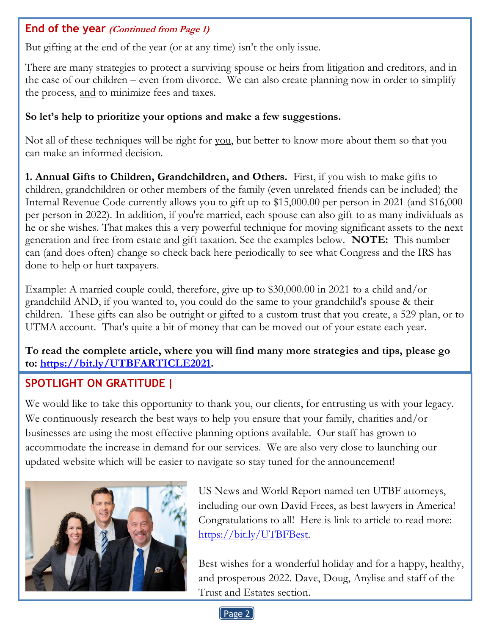#### **End of the year (Continued from Page 1)**

But gifting at the end of the year (or at any time) isn't the only issue.

There are many strategies to protect a surviving spouse or heirs from litigation and creditors, and in the case of our children – even from divorce. We can also create planning now in order to simplify the process, and to minimize fees and taxes.

#### **So let's help to prioritize your options and make a few suggestions.**

Not all of these techniques will be right for you, but better to know more about them so that you can make an informed decision.

**1. Annual Gifts to Children, Grandchildren, and Others.** First, if you wish to make gifts to children, grandchildren or other members of the family (even unrelated friends can be included) the Internal Revenue Code currently allows you to gift up to \$15,000.00 per person in 2021 (and \$16,000 per person in 2022). In addition, if you're married, each spouse can also gift to as many individuals as he or she wishes. That makes this a very powerful technique for moving significant assets to the next generation and free from estate and gift taxation. See the examples below. **NOTE:** This number can (and does often) change so check back here periodically to see what Congress and the IRS has done to help or hurt taxpayers.

Example: A married couple could, therefore, give up to \$30,000.00 in 2021 to a child and/or grandchild AND, if you wanted to, you could do the same to your grandchild's spouse & their children. These gifts can also be outright or gifted to a custom trust that you create, a 529 plan, or to UTMA account. That's quite a bit of money that can be moved out of your estate each year.

#### **To read the complete article, where you will find many more strategies and tips, please go to: [https://bit.ly/UTBFARTICLE2021.](https://bit.ly/UTBFARTICLE2021)**

# **SPOTLIGHT ON GRATITUDE |**

We would like to take this opportunity to thank you, our clients, for entrusting us with your legacy. We continuously research the best ways to help you ensure that your family, charities and/or businesses are using the most effective planning options available. Our staff has grown to accommodate the increase in demand for our services. We are also very close to launching our updated website which will be easier to navigate so stay tuned for the announcement!



US News and World Report named ten UTBF attorneys, including our own David Frees, as best lawyers in America! Congratulations to all! Here is link to article to read more: [https://bit.ly/UTBFBest.](https://bit.ly/UTBFBest)

Best wishes for a wonderful holiday and for a happy, healthy, and prosperous 2022. Dave, Doug, Anylise and staff of the Trust and Estates section.

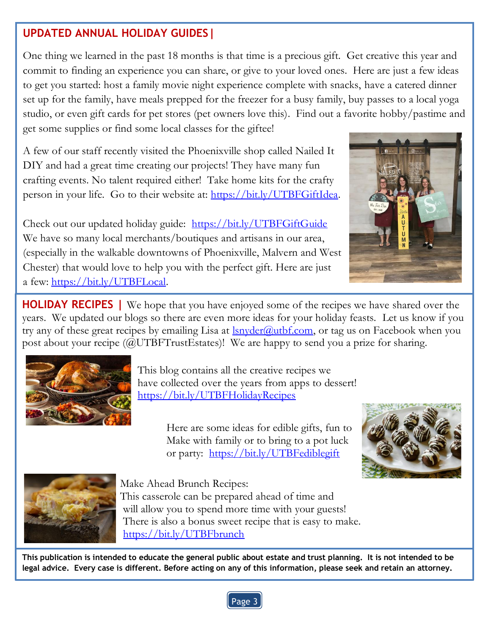## **UPDATED ANNUAL HOLIDAY GUIDES|**

One thing we learned in the past 18 months is that time is a precious gift. Get creative this year and commit to finding an experience you can share, or give to your loved ones. Here are just a few ideas to get you started: host a family movie night experience complete with snacks, have a catered dinner set up for the family, have meals prepped for the freezer for a busy family, buy passes to a local yoga studio, or even gift cards for pet stores (pet owners love this). Find out a favorite hobby/pastime and get some supplies or find some local classes for the giftee!

A few of our staff recently visited the Phoenixville shop called Nailed It DIY and had a great time creating our projects! They have many fun crafting events. No talent required either! Take home kits for the crafty person in your life. Go to their website at: [https://bit.ly/UTBFGiftIdea.](https://bit.ly/UTBFGiftIdea)

Check out our updated holiday guide: <https://bit.ly/UTBFGiftGuide> We have so many local merchants/boutiques and artisans in our area, (especially in the walkable downtowns of Phoenixville, Malvern and West Chester) that would love to help you with the perfect gift. Here are just a few: [https://bit.ly/UTBFLocal.](https://bit.ly/UTBFLocal)



**HOLIDAY RECIPES |** We hope that you have enjoyed some of the recipes we have shared over the years. We updated our blogs so there are even more ideas for your holiday feasts. Let us know if you try any of these great recipes by emailing Lisa at  $\frac{lsn \cdot \text{order}(a) \cdot \text{urbf.com}}{s}$ , or tag us on Facebook when you post about your recipe (@UTBFTrustEstates)! We are happy to send you a prize for sharing.



This blog contains all the creative recipes we have collected over the years from apps to dessert! <https://bit.ly/UTBFHolidayRecipes>

> Here are some ideas for edible gifts, fun to Make with family or to bring to a pot luck or party: <https://bit.ly/UTBFediblegift>





Make Ahead Brunch Recipes:

 This casserole can be prepared ahead of time and will allow you to spend more time with your guests! There is also a bonus sweet recipe that is easy to make. <https://bit.ly/UTBFbrunch>

**This publication is intended to educate the general public about estate and trust planning. It is not intended to be legal advice. Every case is different. Before acting on any of this information, please seek and retain an attorney.**

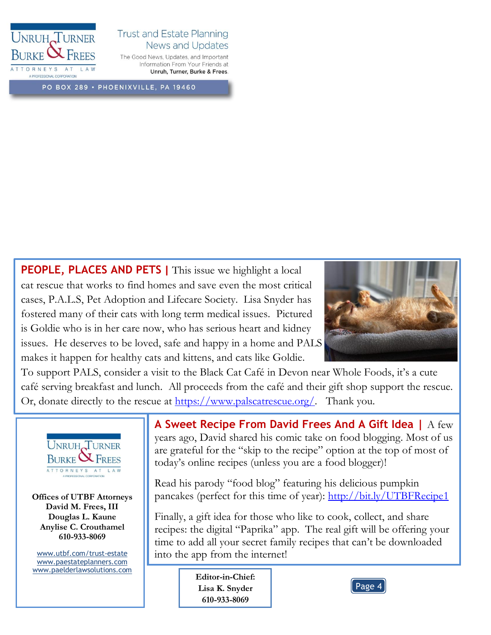

#### **Trust and Estate Planning** News and Updates

The Good News, Updates, and Important Information From Your Friends at Unruh, Turner, Burke & Frees.

PO BOX 289 · PHOENIXVILLE, PA 19460

**PEOPLE, PLACES AND PETS |** This issue we highlight a local cat rescue that works to find homes and save even the most critical cases, P.A.L.S, Pet Adoption and Lifecare Society. Lisa Snyder has fostered many of their cats with long term medical issues. Pictured is Goldie who is in her care now, who has serious heart and kidney issues. He deserves to be loved, safe and happy in a home and PALS makes it happen for healthy cats and kittens, and cats like Goldie.



To support PALS, consider a visit to the Black Cat Café in Devon near Whole Foods, it's a cute café serving breakfast and lunch. All proceeds from the café and their gift shop support the rescue. Or, donate directly to the rescue at [https://www.palscatrescue.org/.](https://www.palscatrescue.org/) Thank you.



**Offices of UTBF Attorneys David M. Frees, III Douglas L. Kaune Anylise C. Crouthamel 610-933-8069**

[www.utbf.com/trust-estate](http://www.utbf.com/trust-estate) [www.paestateplanners.com](http://www.paestateplanners.com/) [www.paelderlawsolutions.com](http://www.paelderlawsolutions.com/) **A Sweet Recipe From David Frees And A Gift Idea |** A few years ago, David shared his comic take on food blogging. Most of us are grateful for the "skip to the recipe" option at the top of most of today's online recipes (unless you are a food blogger)!

Read his parody "food blog" featuring his delicious pumpkin pancakes (perfect for this time of year): <http://bit.ly/UTBFRecipe1>

Finally, a gift idea for those who like to cook, collect, and share recipes: the digital "Paprika" app. The real gift will be offering your time to add all your secret family recipes that can't be downloaded into the app from the internet!

> **Editor-in-Chief: Lisa K. Snyder 610-933-8069**

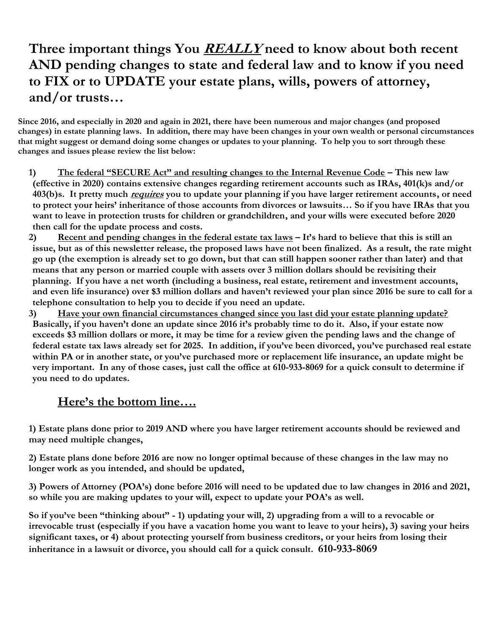# **Three important things You REALLY need to know about both recent AND pending changes to state and federal law and to know if you need to FIX or to UPDATE your estate plans, wills, powers of attorney, and/or trusts…**

**Since 2016, and especially in 2020 and again in 2021, there have been numerous and major changes (and proposed changes) in estate planning laws. In addition, there may have been changes in your own wealth or personal circumstances that might suggest or demand doing some changes or updates to your planning. To help you to sort through these changes and issues please review the list below:**

- **1) The federal "SECURE Act" and resulting changes to the Internal Revenue Code – This new law (effective in 2020) contains extensive changes regarding retirement accounts such as IRAs, 401(k)s and/or 403(b)s. It pretty much requires you to update your planning if you have larger retirement accounts, or need to protect your heirs' inheritance of those accounts from divorces or lawsuits… So if you have IRAs that you want to leave in protection trusts for children or grandchildren, and your wills were executed before 2020 then call for the update process and costs.**
- **2) Recent and pending changes in the federal estate tax laws – It's hard to believe that this is still an issue, but as of this newsletter release, the proposed laws have not been finalized. As a result, the rate might go up (the exemption is already set to go down, but that can still happen sooner rather than later) and that means that any person or married couple with assets over 3 million dollars should be revisiting their planning. If you have a net worth (including a business, real estate, retirement and investment accounts, and even life insurance) over \$3 million dollars and haven't reviewed your plan since 2016 be sure to call for a telephone consultation to help you to decide if you need an update.**
- **3) Have your own financial circumstances changed since you last did your estate planning update? Basically, if you haven't done an update since 2016 it's probably time to do it. Also, if your estate now exceeds \$3 million dollars or more, it may be time for a review given the pending laws and the change of federal estate tax laws already set for 2025. In addition, if you've been divorced, you've purchased real estate within PA or in another state, or you've purchased more or replacement life insurance, an update might be very important. In any of those cases, just call the office at 610-933-8069 for a quick consult to determine if you need to do updates.**

### **Here's the bottom line….**

**1) Estate plans done prior to 2019 AND where you have larger retirement accounts should be reviewed and may need multiple changes,**

**2) Estate plans done before 2016 are now no longer optimal because of these changes in the law may no longer work as you intended, and should be updated,** 

**3) Powers of Attorney (POA's) done before 2016 will need to be updated due to law changes in 2016 and 2021, so while you are making updates to your will, expect to update your POA's as well.** 

**So if you've been "thinking about" - 1) updating your will, 2) upgrading from a will to a revocable or irrevocable trust (especially if you have a vacation home you want to leave to your heirs), 3) saving your heirs significant taxes, or 4) about protecting yourself from business creditors, or your heirs from losing their inheritance in a lawsuit or divorce, you should call for a quick consult. 610-933-8069**